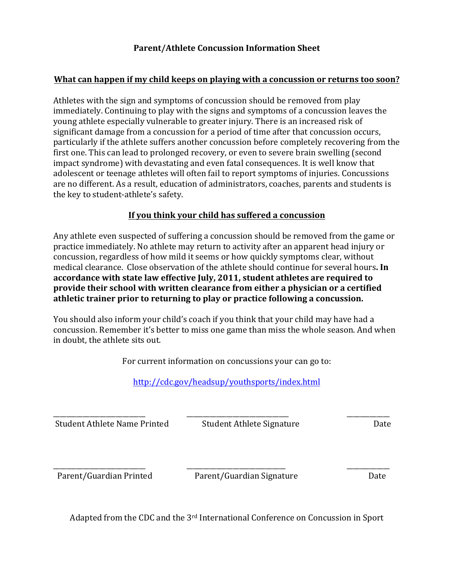## **What can happen if my child keeps on playing with a concussion or returns too soon?**

Athletes with the sign and symptoms of concussion should be removed from play immediately. Continuing to play with the signs and symptoms of a concussion leaves the significant damage from a concussion for a period of time after that concussion occurs, particularly if the athlete suffers another concussion before completely recovering from the impact syndrome) with devastating and even fatal consequences. It is well know that adolescent or teenage athletes will often fail to report symptoms of injuries. Concussions are no different. As a result, education of administrators, coaches, parents and students is young athlete especially vulnerable to greater injury. There is an increased risk of first one. This can lead to prolonged recovery, or even to severe brain swelling (second the key to student-athlete's safety.

## **If you think your child has suffered a concussion**

Any athlete even suspected of suffering a concussion should be removed from the game or practice immediately. No athlete may return to activity after an apparent head injury or concussion, regardless of how mild it seems or how quickly symptoms clear, without medical clearance. Close observation of the athlete should continue for several hours. In  **accordance with state law effective July, 2011, student athletes are required to provide their school with written clearance from either a physician or a certified athletic trainer prior to returning to play or practice following a concussion.**

You should also inform your child's coach if you think that your child may have had a concussion. Remember it's better to miss one game than miss the whole season. And when in doubt, the athlete sits out.

| For current information on concussions your can go to: |                                               |      |
|--------------------------------------------------------|-----------------------------------------------|------|
|                                                        | http://cdc.gov/headsup/youthsports/index.html |      |
| Student Athlete Name Printed                           | Student Athlete Signature                     | Date |
| Parent/Guardian Printed                                | Parent/Guardian Signature                     | Date |

Adapted from the CDC and the 3<sup>rd</sup> International Conference on Concussion in Sport